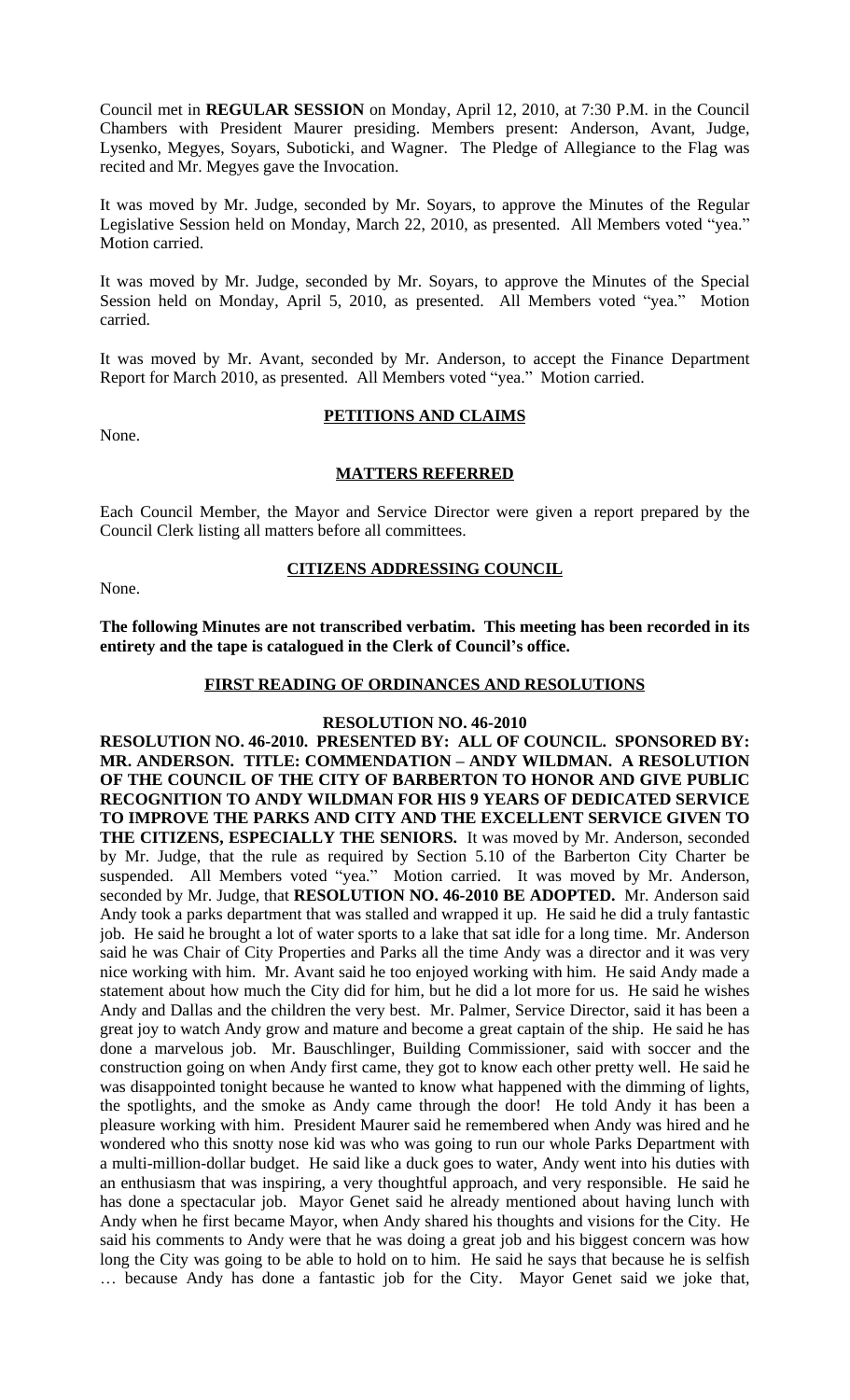Council met in **REGULAR SESSION** on Monday, April 12, 2010, at 7:30 P.M. in the Council Chambers with President Maurer presiding. Members present: Anderson, Avant, Judge, Lysenko, Megyes, Soyars, Suboticki, and Wagner. The Pledge of Allegiance to the Flag was recited and Mr. Megyes gave the Invocation.

It was moved by Mr. Judge, seconded by Mr. Soyars, to approve the Minutes of the Regular Legislative Session held on Monday, March 22, 2010, as presented. All Members voted "yea." Motion carried.

It was moved by Mr. Judge, seconded by Mr. Soyars, to approve the Minutes of the Special Session held on Monday, April 5, 2010, as presented. All Members voted "yea." Motion carried.

It was moved by Mr. Avant, seconded by Mr. Anderson, to accept the Finance Department Report for March 2010, as presented. All Members voted "yea." Motion carried.

None.

## **PETITIONS AND CLAIMS**

#### **MATTERS REFERRED**

Each Council Member, the Mayor and Service Director were given a report prepared by the Council Clerk listing all matters before all committees.

None.

**CITIZENS ADDRESSING COUNCIL**

**The following Minutes are not transcribed verbatim. This meeting has been recorded in its entirety and the tape is catalogued in the Clerk of Council's office.**

## **FIRST READING OF ORDINANCES AND RESOLUTIONS**

#### **RESOLUTION NO. 46-2010**

**RESOLUTION NO. 46-2010. PRESENTED BY: ALL OF COUNCIL. SPONSORED BY: MR. ANDERSON. TITLE: COMMENDATION – ANDY WILDMAN. A RESOLUTION OF THE COUNCIL OF THE CITY OF BARBERTON TO HONOR AND GIVE PUBLIC RECOGNITION TO ANDY WILDMAN FOR HIS 9 YEARS OF DEDICATED SERVICE TO IMPROVE THE PARKS AND CITY AND THE EXCELLENT SERVICE GIVEN TO THE CITIZENS, ESPECIALLY THE SENIORS.** It was moved by Mr. Anderson, seconded by Mr. Judge, that the rule as required by Section 5.10 of the Barberton City Charter be suspended. All Members voted "yea." Motion carried. It was moved by Mr. Anderson, seconded by Mr. Judge, that **RESOLUTION NO. 46-2010 BE ADOPTED.** Mr. Anderson said Andy took a parks department that was stalled and wrapped it up. He said he did a truly fantastic job. He said he brought a lot of water sports to a lake that sat idle for a long time. Mr. Anderson said he was Chair of City Properties and Parks all the time Andy was a director and it was very nice working with him. Mr. Avant said he too enjoyed working with him. He said Andy made a statement about how much the City did for him, but he did a lot more for us. He said he wishes Andy and Dallas and the children the very best. Mr. Palmer, Service Director, said it has been a great joy to watch Andy grow and mature and become a great captain of the ship. He said he has done a marvelous job. Mr. Bauschlinger, Building Commissioner, said with soccer and the construction going on when Andy first came, they got to know each other pretty well. He said he was disappointed tonight because he wanted to know what happened with the dimming of lights, the spotlights, and the smoke as Andy came through the door! He told Andy it has been a pleasure working with him. President Maurer said he remembered when Andy was hired and he wondered who this snotty nose kid was who was going to run our whole Parks Department with a multi-million-dollar budget. He said like a duck goes to water, Andy went into his duties with an enthusiasm that was inspiring, a very thoughtful approach, and very responsible. He said he has done a spectacular job. Mayor Genet said he already mentioned about having lunch with Andy when he first became Mayor, when Andy shared his thoughts and visions for the City. He said his comments to Andy were that he was doing a great job and his biggest concern was how long the City was going to be able to hold on to him. He said he says that because he is selfish … because Andy has done a fantastic job for the City. Mayor Genet said we joke that,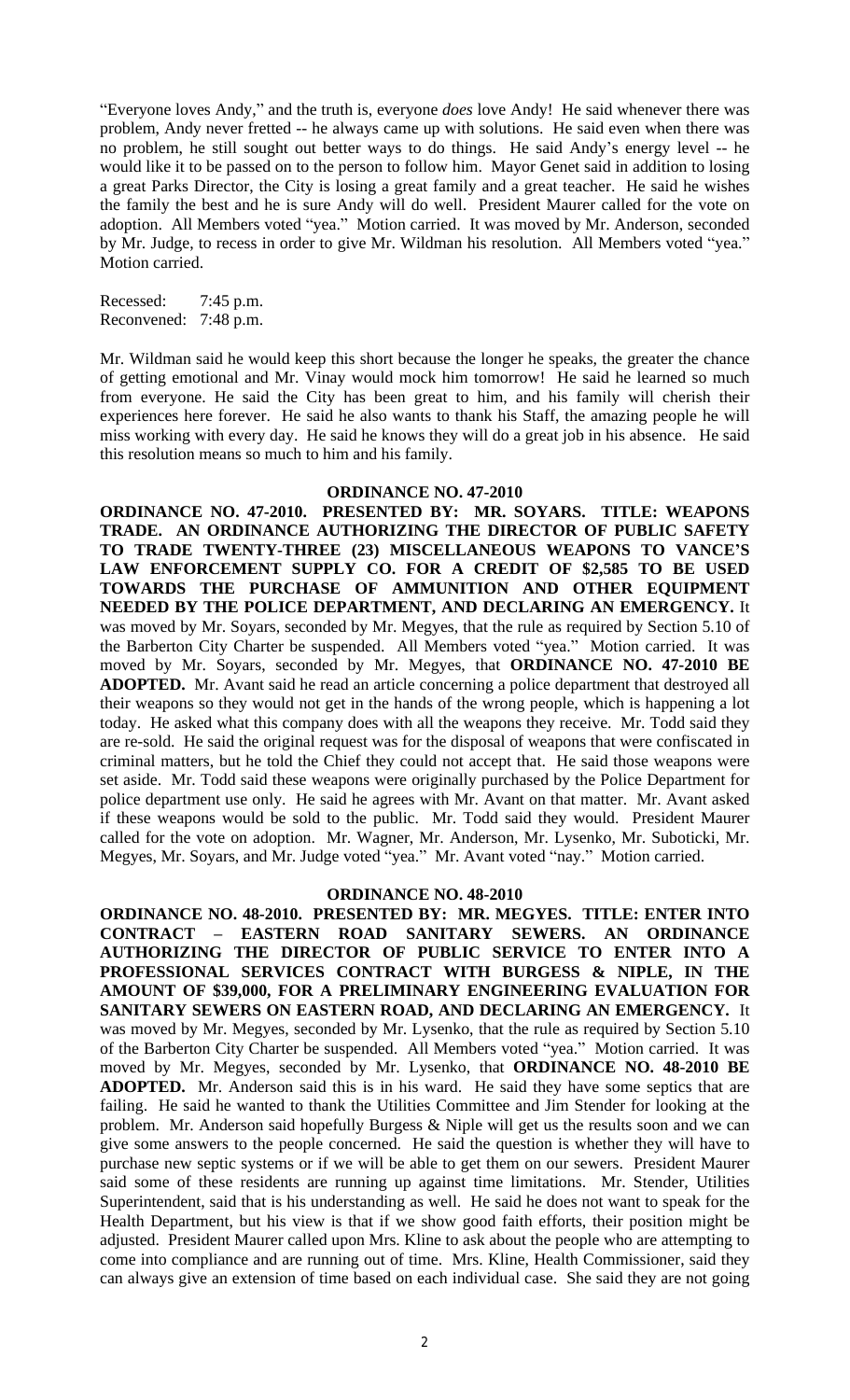"Everyone loves Andy," and the truth is, everyone *does* love Andy! He said whenever there was problem, Andy never fretted -- he always came up with solutions. He said even when there was no problem, he still sought out better ways to do things. He said Andy's energy level -- he would like it to be passed on to the person to follow him. Mayor Genet said in addition to losing a great Parks Director, the City is losing a great family and a great teacher. He said he wishes the family the best and he is sure Andy will do well. President Maurer called for the vote on adoption. All Members voted "yea." Motion carried. It was moved by Mr. Anderson, seconded by Mr. Judge, to recess in order to give Mr. Wildman his resolution. All Members voted "yea." Motion carried.

Recessed: 7:45 p.m. Reconvened: 7:48 p.m.

Mr. Wildman said he would keep this short because the longer he speaks, the greater the chance of getting emotional and Mr. Vinay would mock him tomorrow! He said he learned so much from everyone. He said the City has been great to him, and his family will cherish their experiences here forever. He said he also wants to thank his Staff, the amazing people he will miss working with every day. He said he knows they will do a great job in his absence. He said this resolution means so much to him and his family.

#### **ORDINANCE NO. 47-2010**

**ORDINANCE NO. 47-2010. PRESENTED BY: MR. SOYARS. TITLE: WEAPONS TRADE. AN ORDINANCE AUTHORIZING THE DIRECTOR OF PUBLIC SAFETY TO TRADE TWENTY-THREE (23) MISCELLANEOUS WEAPONS TO VANCE'S LAW ENFORCEMENT SUPPLY CO. FOR A CREDIT OF \$2,585 TO BE USED TOWARDS THE PURCHASE OF AMMUNITION AND OTHER EQUIPMENT NEEDED BY THE POLICE DEPARTMENT, AND DECLARING AN EMERGENCY.** It was moved by Mr. Soyars, seconded by Mr. Megyes, that the rule as required by Section 5.10 of the Barberton City Charter be suspended. All Members voted "yea." Motion carried. It was moved by Mr. Soyars, seconded by Mr. Megyes, that **ORDINANCE NO. 47-2010 BE ADOPTED.** Mr. Avant said he read an article concerning a police department that destroyed all their weapons so they would not get in the hands of the wrong people, which is happening a lot today. He asked what this company does with all the weapons they receive. Mr. Todd said they are re-sold. He said the original request was for the disposal of weapons that were confiscated in criminal matters, but he told the Chief they could not accept that. He said those weapons were set aside. Mr. Todd said these weapons were originally purchased by the Police Department for police department use only. He said he agrees with Mr. Avant on that matter. Mr. Avant asked if these weapons would be sold to the public. Mr. Todd said they would. President Maurer called for the vote on adoption. Mr. Wagner, Mr. Anderson, Mr. Lysenko, Mr. Suboticki, Mr. Megyes, Mr. Soyars, and Mr. Judge voted "yea." Mr. Avant voted "nay." Motion carried.

#### **ORDINANCE NO. 48-2010**

**ORDINANCE NO. 48-2010. PRESENTED BY: MR. MEGYES. TITLE: ENTER INTO CONTRACT – EASTERN ROAD SANITARY SEWERS. AN ORDINANCE AUTHORIZING THE DIRECTOR OF PUBLIC SERVICE TO ENTER INTO A PROFESSIONAL SERVICES CONTRACT WITH BURGESS & NIPLE, IN THE AMOUNT OF \$39,000, FOR A PRELIMINARY ENGINEERING EVALUATION FOR SANITARY SEWERS ON EASTERN ROAD, AND DECLARING AN EMERGENCY.** It was moved by Mr. Megyes, seconded by Mr. Lysenko, that the rule as required by Section 5.10 of the Barberton City Charter be suspended. All Members voted "yea." Motion carried. It was moved by Mr. Megyes, seconded by Mr. Lysenko, that **ORDINANCE NO. 48-2010 BE ADOPTED.** Mr. Anderson said this is in his ward. He said they have some septics that are failing. He said he wanted to thank the Utilities Committee and Jim Stender for looking at the problem. Mr. Anderson said hopefully Burgess & Niple will get us the results soon and we can give some answers to the people concerned. He said the question is whether they will have to purchase new septic systems or if we will be able to get them on our sewers. President Maurer said some of these residents are running up against time limitations. Mr. Stender, Utilities Superintendent, said that is his understanding as well. He said he does not want to speak for the Health Department, but his view is that if we show good faith efforts, their position might be adjusted. President Maurer called upon Mrs. Kline to ask about the people who are attempting to come into compliance and are running out of time. Mrs. Kline, Health Commissioner, said they can always give an extension of time based on each individual case. She said they are not going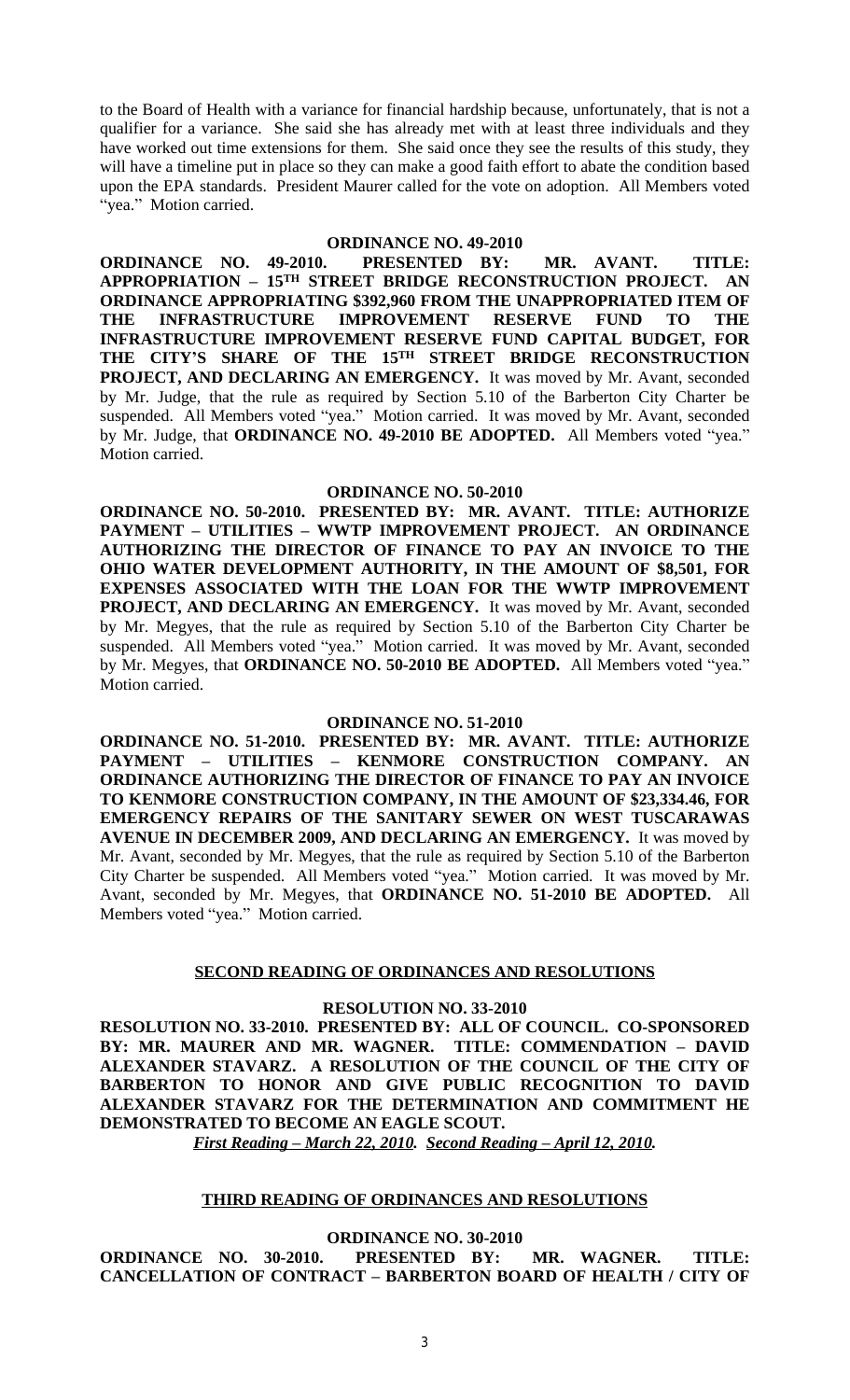to the Board of Health with a variance for financial hardship because, unfortunately, that is not a qualifier for a variance. She said she has already met with at least three individuals and they have worked out time extensions for them. She said once they see the results of this study, they will have a timeline put in place so they can make a good faith effort to abate the condition based upon the EPA standards. President Maurer called for the vote on adoption. All Members voted "yea." Motion carried.

#### **ORDINANCE NO. 49-2010**

**ORDINANCE NO. 49-2010. PRESENTED BY: MR. AVANT. TITLE: APPROPRIATION – 15TH STREET BRIDGE RECONSTRUCTION PROJECT. AN ORDINANCE APPROPRIATING \$392,960 FROM THE UNAPPROPRIATED ITEM OF THE INFRASTRUCTURE IMPROVEMENT RESERVE FUND TO THE INFRASTRUCTURE IMPROVEMENT RESERVE FUND CAPITAL BUDGET, FOR THE CITY'S SHARE OF THE 15TH STREET BRIDGE RECONSTRUCTION PROJECT, AND DECLARING AN EMERGENCY.** It was moved by Mr. Avant, seconded by Mr. Judge, that the rule as required by Section 5.10 of the Barberton City Charter be suspended. All Members voted "yea." Motion carried. It was moved by Mr. Avant, seconded by Mr. Judge, that **ORDINANCE NO. 49-2010 BE ADOPTED.** All Members voted "yea." Motion carried.

#### **ORDINANCE NO. 50-2010**

**ORDINANCE NO. 50-2010. PRESENTED BY: MR. AVANT. TITLE: AUTHORIZE PAYMENT – UTILITIES – WWTP IMPROVEMENT PROJECT. AN ORDINANCE AUTHORIZING THE DIRECTOR OF FINANCE TO PAY AN INVOICE TO THE OHIO WATER DEVELOPMENT AUTHORITY, IN THE AMOUNT OF \$8,501, FOR EXPENSES ASSOCIATED WITH THE LOAN FOR THE WWTP IMPROVEMENT PROJECT, AND DECLARING AN EMERGENCY.** It was moved by Mr. Avant, seconded by Mr. Megyes, that the rule as required by Section 5.10 of the Barberton City Charter be suspended. All Members voted "yea." Motion carried. It was moved by Mr. Avant, seconded by Mr. Megyes, that **ORDINANCE NO. 50-2010 BE ADOPTED.** All Members voted "yea." Motion carried.

#### **ORDINANCE NO. 51-2010**

**ORDINANCE NO. 51-2010. PRESENTED BY: MR. AVANT. TITLE: AUTHORIZE PAYMENT – UTILITIES – KENMORE CONSTRUCTION COMPANY. AN ORDINANCE AUTHORIZING THE DIRECTOR OF FINANCE TO PAY AN INVOICE TO KENMORE CONSTRUCTION COMPANY, IN THE AMOUNT OF \$23,334.46, FOR EMERGENCY REPAIRS OF THE SANITARY SEWER ON WEST TUSCARAWAS AVENUE IN DECEMBER 2009, AND DECLARING AN EMERGENCY.** It was moved by Mr. Avant, seconded by Mr. Megyes, that the rule as required by Section 5.10 of the Barberton City Charter be suspended. All Members voted "yea." Motion carried. It was moved by Mr. Avant, seconded by Mr. Megyes, that **ORDINANCE NO. 51-2010 BE ADOPTED.** All Members voted "yea." Motion carried.

#### **SECOND READING OF ORDINANCES AND RESOLUTIONS**

## **RESOLUTION NO. 33-2010**

**RESOLUTION NO. 33-2010. PRESENTED BY: ALL OF COUNCIL. CO-SPONSORED BY: MR. MAURER AND MR. WAGNER. TITLE: COMMENDATION – DAVID ALEXANDER STAVARZ. A RESOLUTION OF THE COUNCIL OF THE CITY OF BARBERTON TO HONOR AND GIVE PUBLIC RECOGNITION TO DAVID ALEXANDER STAVARZ FOR THE DETERMINATION AND COMMITMENT HE DEMONSTRATED TO BECOME AN EAGLE SCOUT.** 

*First Reading – March 22, 2010. Second Reading – April 12, 2010.*

### **THIRD READING OF ORDINANCES AND RESOLUTIONS**

## **ORDINANCE NO. 30-2010**

**ORDINANCE NO. 30-2010. PRESENTED BY: MR. WAGNER. TITLE: CANCELLATION OF CONTRACT – BARBERTON BOARD OF HEALTH / CITY OF**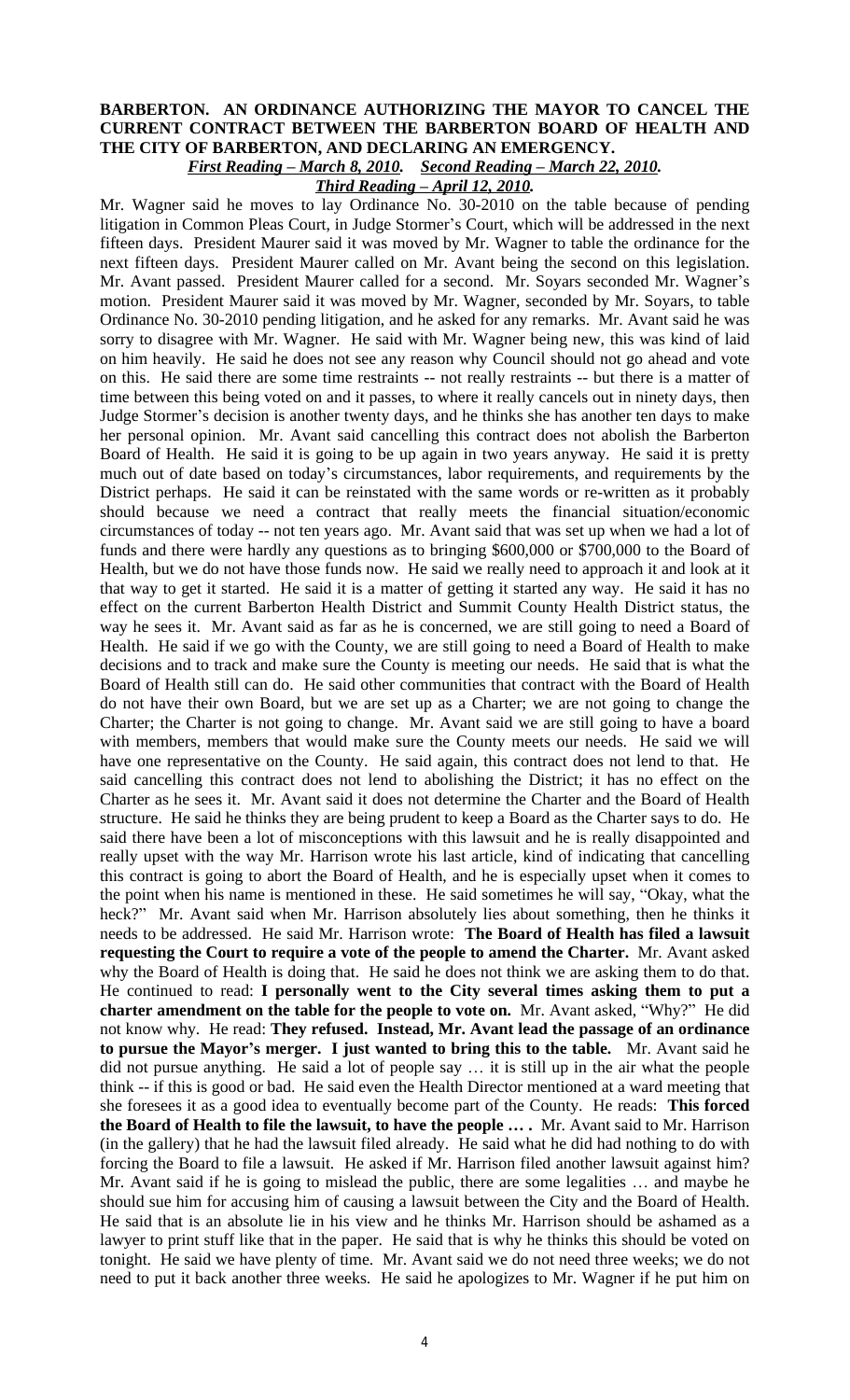## **BARBERTON. AN ORDINANCE AUTHORIZING THE MAYOR TO CANCEL THE CURRENT CONTRACT BETWEEN THE BARBERTON BOARD OF HEALTH AND THE CITY OF BARBERTON, AND DECLARING AN EMERGENCY.** *First Reading – March 8, 2010. Second Reading – March 22, 2010.*

*Third Reading – April 12, 2010.*

Mr. Wagner said he moves to lay Ordinance No. 30-2010 on the table because of pending litigation in Common Pleas Court, in Judge Stormer's Court, which will be addressed in the next fifteen days. President Maurer said it was moved by Mr. Wagner to table the ordinance for the next fifteen days. President Maurer called on Mr. Avant being the second on this legislation. Mr. Avant passed. President Maurer called for a second. Mr. Soyars seconded Mr. Wagner's motion. President Maurer said it was moved by Mr. Wagner, seconded by Mr. Soyars, to table Ordinance No. 30-2010 pending litigation, and he asked for any remarks. Mr. Avant said he was sorry to disagree with Mr. Wagner. He said with Mr. Wagner being new, this was kind of laid on him heavily. He said he does not see any reason why Council should not go ahead and vote on this. He said there are some time restraints -- not really restraints -- but there is a matter of time between this being voted on and it passes, to where it really cancels out in ninety days, then Judge Stormer's decision is another twenty days, and he thinks she has another ten days to make her personal opinion. Mr. Avant said cancelling this contract does not abolish the Barberton Board of Health. He said it is going to be up again in two years anyway. He said it is pretty much out of date based on today's circumstances, labor requirements, and requirements by the District perhaps. He said it can be reinstated with the same words or re-written as it probably should because we need a contract that really meets the financial situation/economic circumstances of today -- not ten years ago. Mr. Avant said that was set up when we had a lot of funds and there were hardly any questions as to bringing \$600,000 or \$700,000 to the Board of Health, but we do not have those funds now. He said we really need to approach it and look at it that way to get it started. He said it is a matter of getting it started any way. He said it has no effect on the current Barberton Health District and Summit County Health District status, the way he sees it. Mr. Avant said as far as he is concerned, we are still going to need a Board of Health. He said if we go with the County, we are still going to need a Board of Health to make decisions and to track and make sure the County is meeting our needs. He said that is what the Board of Health still can do. He said other communities that contract with the Board of Health do not have their own Board, but we are set up as a Charter; we are not going to change the Charter; the Charter is not going to change. Mr. Avant said we are still going to have a board with members, members that would make sure the County meets our needs. He said we will have one representative on the County. He said again, this contract does not lend to that. He said cancelling this contract does not lend to abolishing the District; it has no effect on the Charter as he sees it. Mr. Avant said it does not determine the Charter and the Board of Health structure. He said he thinks they are being prudent to keep a Board as the Charter says to do. He said there have been a lot of misconceptions with this lawsuit and he is really disappointed and really upset with the way Mr. Harrison wrote his last article, kind of indicating that cancelling this contract is going to abort the Board of Health, and he is especially upset when it comes to the point when his name is mentioned in these. He said sometimes he will say, "Okay, what the heck?" Mr. Avant said when Mr. Harrison absolutely lies about something, then he thinks it needs to be addressed. He said Mr. Harrison wrote: **The Board of Health has filed a lawsuit requesting the Court to require a vote of the people to amend the Charter.** Mr. Avant asked why the Board of Health is doing that. He said he does not think we are asking them to do that. He continued to read: **I personally went to the City several times asking them to put a charter amendment on the table for the people to vote on.** Mr. Avant asked, "Why?" He did not know why. He read: **They refused. Instead, Mr. Avant lead the passage of an ordinance to pursue the Mayor's merger. I just wanted to bring this to the table.** Mr. Avant said he did not pursue anything. He said a lot of people say … it is still up in the air what the people think -- if this is good or bad. He said even the Health Director mentioned at a ward meeting that she foresees it as a good idea to eventually become part of the County. He reads: **This forced the Board of Health to file the lawsuit, to have the people … .** Mr. Avant said to Mr. Harrison (in the gallery) that he had the lawsuit filed already. He said what he did had nothing to do with forcing the Board to file a lawsuit. He asked if Mr. Harrison filed another lawsuit against him? Mr. Avant said if he is going to mislead the public, there are some legalities … and maybe he should sue him for accusing him of causing a lawsuit between the City and the Board of Health. He said that is an absolute lie in his view and he thinks Mr. Harrison should be ashamed as a lawyer to print stuff like that in the paper. He said that is why he thinks this should be voted on tonight. He said we have plenty of time. Mr. Avant said we do not need three weeks; we do not need to put it back another three weeks. He said he apologizes to Mr. Wagner if he put him on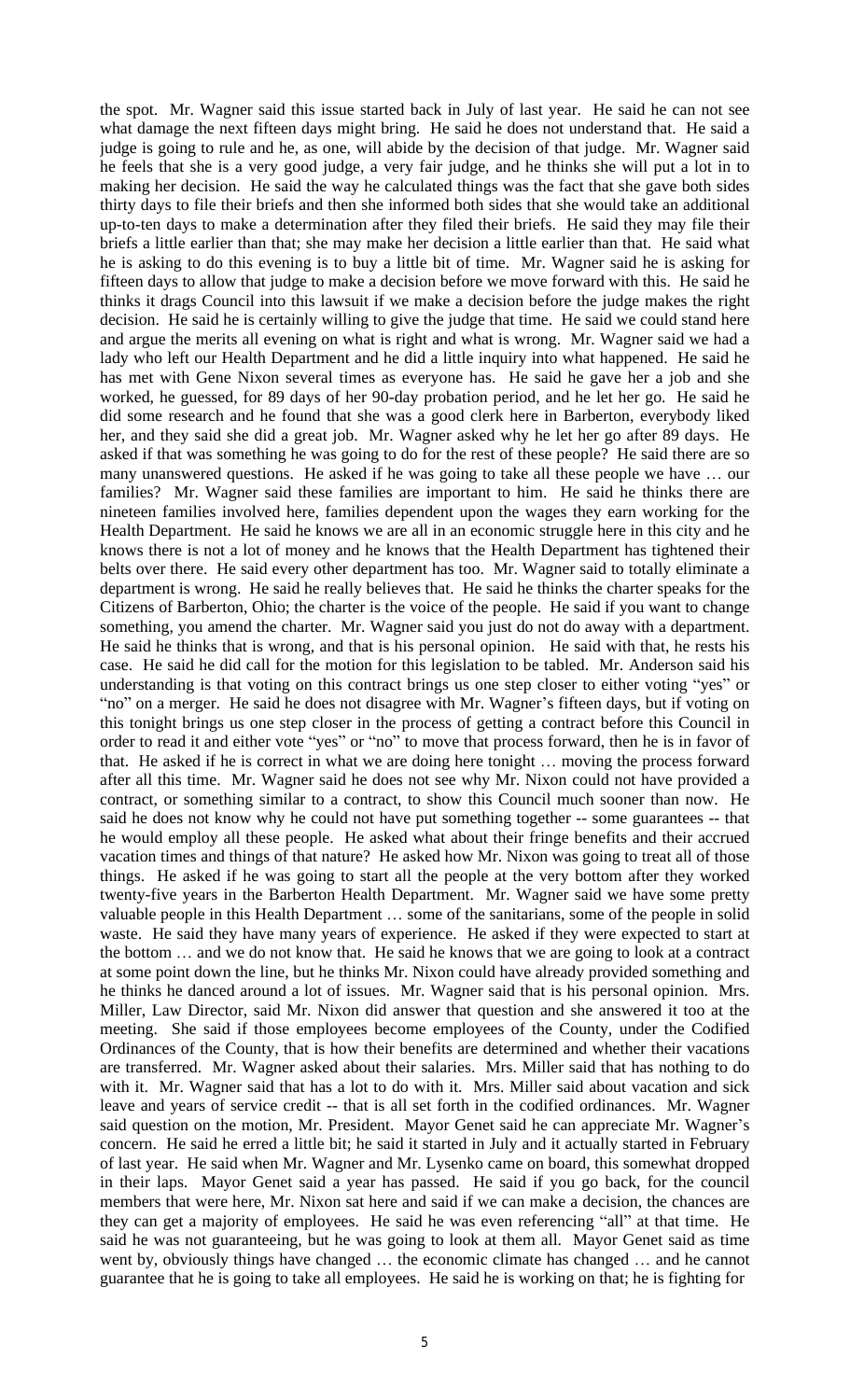the spot. Mr. Wagner said this issue started back in July of last year. He said he can not see what damage the next fifteen days might bring. He said he does not understand that. He said a judge is going to rule and he, as one, will abide by the decision of that judge. Mr. Wagner said he feels that she is a very good judge, a very fair judge, and he thinks she will put a lot in to making her decision. He said the way he calculated things was the fact that she gave both sides thirty days to file their briefs and then she informed both sides that she would take an additional up-to-ten days to make a determination after they filed their briefs. He said they may file their briefs a little earlier than that; she may make her decision a little earlier than that. He said what he is asking to do this evening is to buy a little bit of time. Mr. Wagner said he is asking for fifteen days to allow that judge to make a decision before we move forward with this. He said he thinks it drags Council into this lawsuit if we make a decision before the judge makes the right decision. He said he is certainly willing to give the judge that time. He said we could stand here and argue the merits all evening on what is right and what is wrong. Mr. Wagner said we had a lady who left our Health Department and he did a little inquiry into what happened. He said he has met with Gene Nixon several times as everyone has. He said he gave her a job and she worked, he guessed, for 89 days of her 90-day probation period, and he let her go. He said he did some research and he found that she was a good clerk here in Barberton, everybody liked her, and they said she did a great job. Mr. Wagner asked why he let her go after 89 days. He asked if that was something he was going to do for the rest of these people? He said there are so many unanswered questions. He asked if he was going to take all these people we have … our families? Mr. Wagner said these families are important to him. He said he thinks there are nineteen families involved here, families dependent upon the wages they earn working for the Health Department. He said he knows we are all in an economic struggle here in this city and he knows there is not a lot of money and he knows that the Health Department has tightened their belts over there. He said every other department has too. Mr. Wagner said to totally eliminate a department is wrong. He said he really believes that. He said he thinks the charter speaks for the Citizens of Barberton, Ohio; the charter is the voice of the people. He said if you want to change something, you amend the charter. Mr. Wagner said you just do not do away with a department. He said he thinks that is wrong, and that is his personal opinion. He said with that, he rests his case. He said he did call for the motion for this legislation to be tabled. Mr. Anderson said his understanding is that voting on this contract brings us one step closer to either voting "yes" or "no" on a merger. He said he does not disagree with Mr. Wagner's fifteen days, but if voting on this tonight brings us one step closer in the process of getting a contract before this Council in order to read it and either vote "yes" or "no" to move that process forward, then he is in favor of that. He asked if he is correct in what we are doing here tonight … moving the process forward after all this time. Mr. Wagner said he does not see why Mr. Nixon could not have provided a contract, or something similar to a contract, to show this Council much sooner than now. He said he does not know why he could not have put something together -- some guarantees -- that he would employ all these people. He asked what about their fringe benefits and their accrued vacation times and things of that nature? He asked how Mr. Nixon was going to treat all of those things. He asked if he was going to start all the people at the very bottom after they worked twenty-five years in the Barberton Health Department. Mr. Wagner said we have some pretty valuable people in this Health Department … some of the sanitarians, some of the people in solid waste. He said they have many years of experience. He asked if they were expected to start at the bottom … and we do not know that. He said he knows that we are going to look at a contract at some point down the line, but he thinks Mr. Nixon could have already provided something and he thinks he danced around a lot of issues. Mr. Wagner said that is his personal opinion. Mrs. Miller, Law Director, said Mr. Nixon did answer that question and she answered it too at the meeting. She said if those employees become employees of the County, under the Codified Ordinances of the County, that is how their benefits are determined and whether their vacations are transferred. Mr. Wagner asked about their salaries. Mrs. Miller said that has nothing to do with it. Mr. Wagner said that has a lot to do with it. Mrs. Miller said about vacation and sick leave and years of service credit -- that is all set forth in the codified ordinances. Mr. Wagner said question on the motion, Mr. President. Mayor Genet said he can appreciate Mr. Wagner's concern. He said he erred a little bit; he said it started in July and it actually started in February of last year. He said when Mr. Wagner and Mr. Lysenko came on board, this somewhat dropped in their laps. Mayor Genet said a year has passed. He said if you go back, for the council members that were here, Mr. Nixon sat here and said if we can make a decision, the chances are they can get a majority of employees. He said he was even referencing "all" at that time. He said he was not guaranteeing, but he was going to look at them all. Mayor Genet said as time went by, obviously things have changed … the economic climate has changed … and he cannot guarantee that he is going to take all employees. He said he is working on that; he is fighting for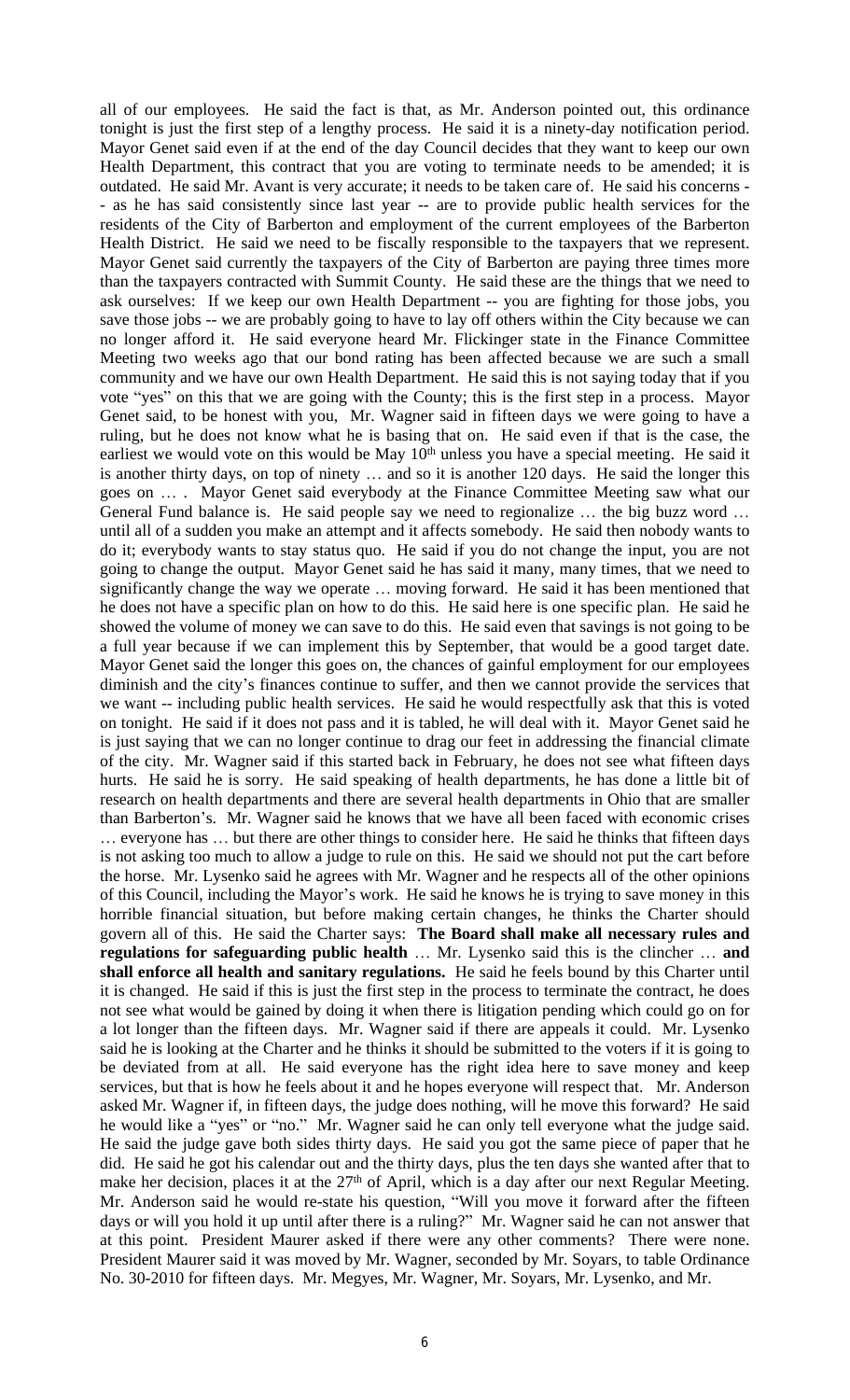all of our employees. He said the fact is that, as Mr. Anderson pointed out, this ordinance tonight is just the first step of a lengthy process. He said it is a ninety-day notification period. Mayor Genet said even if at the end of the day Council decides that they want to keep our own Health Department, this contract that you are voting to terminate needs to be amended; it is outdated. He said Mr. Avant is very accurate; it needs to be taken care of. He said his concerns - - as he has said consistently since last year -- are to provide public health services for the residents of the City of Barberton and employment of the current employees of the Barberton Health District. He said we need to be fiscally responsible to the taxpayers that we represent. Mayor Genet said currently the taxpayers of the City of Barberton are paying three times more than the taxpayers contracted with Summit County. He said these are the things that we need to ask ourselves: If we keep our own Health Department -- you are fighting for those jobs, you save those jobs -- we are probably going to have to lay off others within the City because we can no longer afford it. He said everyone heard Mr. Flickinger state in the Finance Committee Meeting two weeks ago that our bond rating has been affected because we are such a small community and we have our own Health Department. He said this is not saying today that if you vote "yes" on this that we are going with the County; this is the first step in a process. Mayor Genet said, to be honest with you, Mr. Wagner said in fifteen days we were going to have a ruling, but he does not know what he is basing that on. He said even if that is the case, the earliest we would vote on this would be May 10<sup>th</sup> unless you have a special meeting. He said it is another thirty days, on top of ninety … and so it is another 120 days. He said the longer this goes on … . Mayor Genet said everybody at the Finance Committee Meeting saw what our General Fund balance is. He said people say we need to regionalize … the big buzz word … until all of a sudden you make an attempt and it affects somebody. He said then nobody wants to do it; everybody wants to stay status quo. He said if you do not change the input, you are not going to change the output. Mayor Genet said he has said it many, many times, that we need to significantly change the way we operate … moving forward. He said it has been mentioned that he does not have a specific plan on how to do this. He said here is one specific plan. He said he showed the volume of money we can save to do this. He said even that savings is not going to be a full year because if we can implement this by September, that would be a good target date. Mayor Genet said the longer this goes on, the chances of gainful employment for our employees diminish and the city's finances continue to suffer, and then we cannot provide the services that we want -- including public health services. He said he would respectfully ask that this is voted on tonight. He said if it does not pass and it is tabled, he will deal with it. Mayor Genet said he is just saying that we can no longer continue to drag our feet in addressing the financial climate of the city. Mr. Wagner said if this started back in February, he does not see what fifteen days hurts. He said he is sorry. He said speaking of health departments, he has done a little bit of research on health departments and there are several health departments in Ohio that are smaller than Barberton's. Mr. Wagner said he knows that we have all been faced with economic crises … everyone has … but there are other things to consider here. He said he thinks that fifteen days is not asking too much to allow a judge to rule on this. He said we should not put the cart before the horse. Mr. Lysenko said he agrees with Mr. Wagner and he respects all of the other opinions of this Council, including the Mayor's work. He said he knows he is trying to save money in this horrible financial situation, but before making certain changes, he thinks the Charter should govern all of this. He said the Charter says: **The Board shall make all necessary rules and regulations for safeguarding public health** … Mr. Lysenko said this is the clincher … **and shall enforce all health and sanitary regulations.** He said he feels bound by this Charter until it is changed. He said if this is just the first step in the process to terminate the contract, he does not see what would be gained by doing it when there is litigation pending which could go on for a lot longer than the fifteen days. Mr. Wagner said if there are appeals it could. Mr. Lysenko said he is looking at the Charter and he thinks it should be submitted to the voters if it is going to be deviated from at all. He said everyone has the right idea here to save money and keep services, but that is how he feels about it and he hopes everyone will respect that. Mr. Anderson asked Mr. Wagner if, in fifteen days, the judge does nothing, will he move this forward? He said he would like a "yes" or "no." Mr. Wagner said he can only tell everyone what the judge said. He said the judge gave both sides thirty days. He said you got the same piece of paper that he did. He said he got his calendar out and the thirty days, plus the ten days she wanted after that to make her decision, places it at the 27<sup>th</sup> of April, which is a day after our next Regular Meeting. Mr. Anderson said he would re-state his question, "Will you move it forward after the fifteen days or will you hold it up until after there is a ruling?" Mr. Wagner said he can not answer that at this point. President Maurer asked if there were any other comments? There were none. President Maurer said it was moved by Mr. Wagner, seconded by Mr. Soyars, to table Ordinance No. 30-2010 for fifteen days. Mr. Megyes, Mr. Wagner, Mr. Soyars, Mr. Lysenko, and Mr.